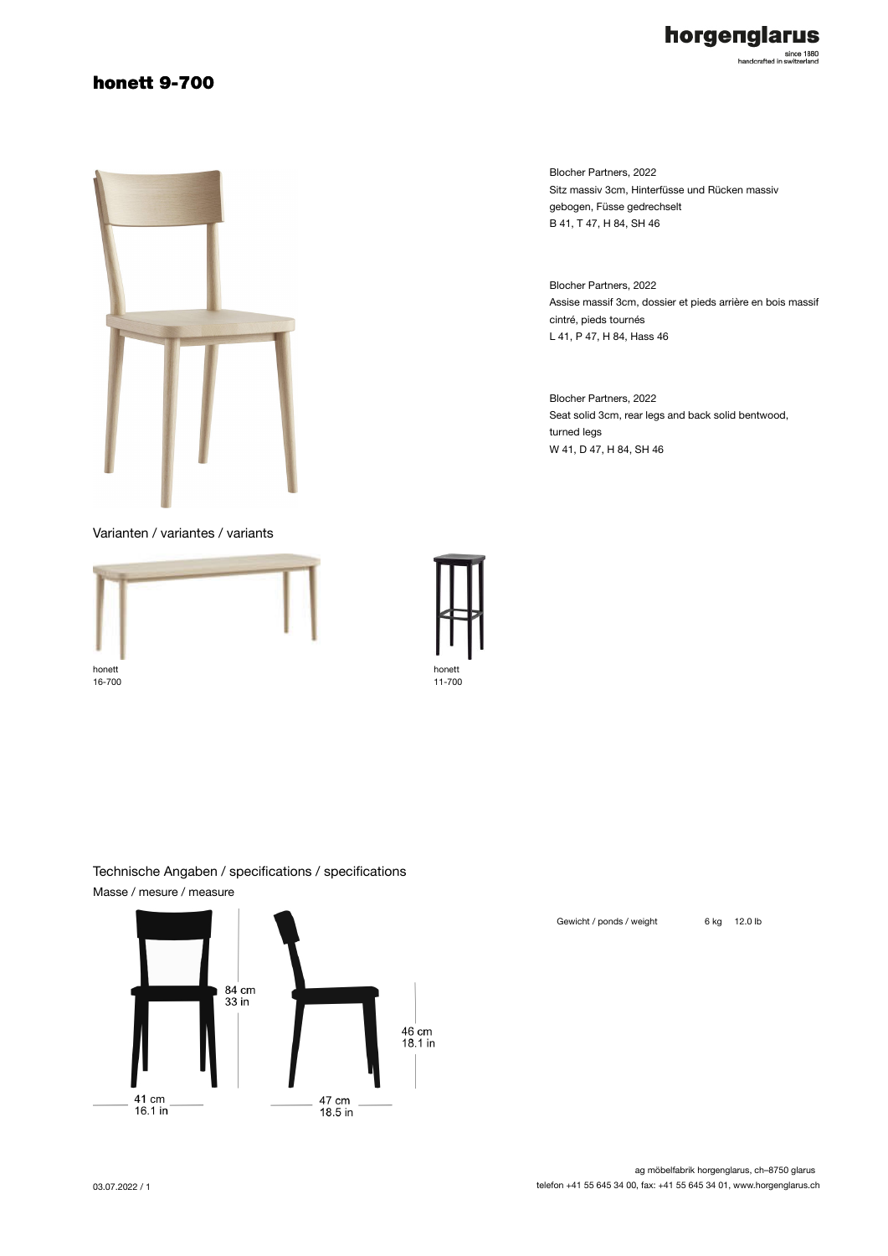## honett 9-700



Blocher Partners, 2022 Sitz massiv 3cm, Hinterfüsse und Rücken massiv gebogen, Füsse gedrechselt B 41, T 47, H 84, SH 46

Blocher Partners, 2022 Assise massif 3cm, dossier et pieds arrière en bois massif cintré, pieds tournés L 41, P 47, H 84, Hass 46

Blocher Partners, 2022 Seat solid 3cm, rear legs and back solid bentwood, turned legs W 41, D 47, H 84, SH 46

### Varianten / variantes / variants





### Technische Angaben / specifications / specifications Masse / mesure / measure



Gewicht / ponds / weight 6 kg 12.0 lb

#### ag möbelfabrik horgenglarus, ch–8750 glarus telefon +41 55 645 34 00, fax: +41 55 645 34 01, www.horgenglarus.ch

horgenglarus since 1880<br>handcrafted in switzerland